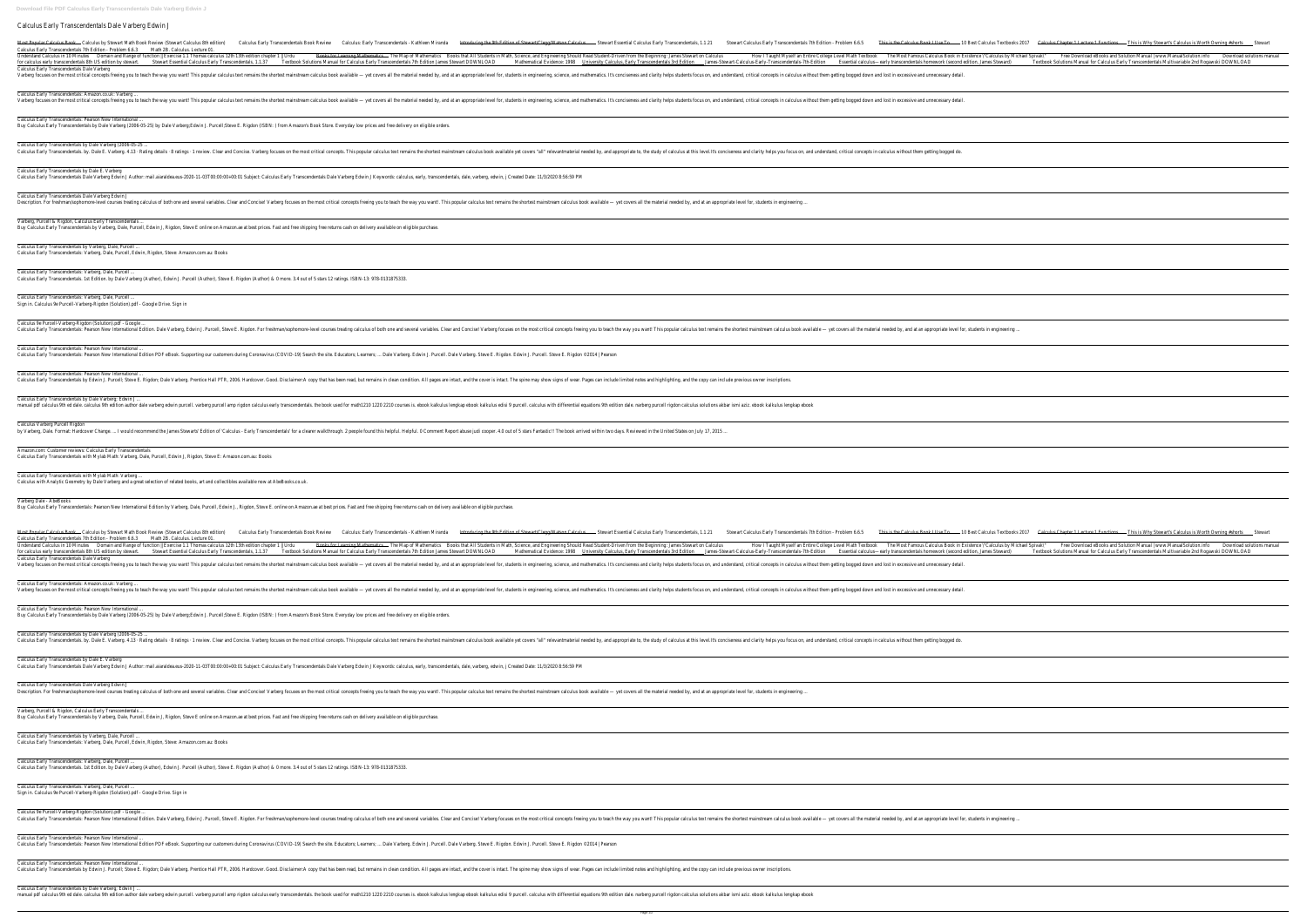Calculus Early Transcendentals Dale Varberg Edwin J Most Popular Calculus Book Calculus by Stewart Math Book Review (Stewart Calculus 8th edition) Calculus Early Transcendentals Book Review Calculus Calculus Early Transcendentals Book Review Calculus Calculus Early Transcen Calculus Early Transcendentals 7th Edition - Problem 6.6.3 Math 2B. Calculus. Lecture 01 Understand Calculus in 10 Minutes Domain and Range of function || Exercise 1.1 Thomas calculus 12th 13th edition chapter 1 || Urdu Books for Learning Mat Banes-Stewart Fanscendentals are are Stewart Essential Calculus Early Transcendentals, 1.1.37 Textbook Solutions Manual for Calculus, Early Transcendentals are Stewart PownLOAD Textbook Solutions Manual for Calculus Early Calculus Early Transcendentals Dale Varberg Varberg focuses on the most critical concepts freeing you to teach the way you want! This popular calculus text remains the shortest mainstream calculus book available - yet covers all the material ne Calculus Early Transcendentals: Amazon.co.uk: Varberg ... Varberg focuses on the most critical concepts freeing you to teach the way you want! This popular calculus text remains the shortest mainstream calculus book available - yet covers all the material ne Calculus Early Transcendentals: Pearson New International ... Buy Calculus Early Transcendentals by Dale Varberg (2006-05-25) by Dale Varberg;Edwin J. Purcell;Steve E. Rigdon (ISBN: ) from Amazon's Book Store. Everyday low prices and free delivery on eligible orders. Calculus Early Transcendentals by Dale Varberg (2006-05-25 ... Calculus Early Transcendentals. by. Dale E. Varberg. 4.13 · Rating details · 8 ratings · 1 review. Clear and Concise. Varberg focuses on the most critical concepts. This popular calculus text remains the sho Calculus Early Transcendentals by Dale E. Varberg Calculus Early Transcendentals Dale Varberg Edwin J Author: mail.aiaraldea.eus-2020-11-03T00:00:00+00:01 Subject: Calculus Early Transcendentals Dale Varberg Edwin J Keywords: calculus, early, trans Calculus Early Transcendentals Dale Varberg Edwin J Description. For freshman/sophomore-level courses treating calculus of both one and several variables. Clear and Concise! Varberg focuses on the most critical concepts freeing you to teach the way y Varberg, Purcell & Rigdon, Calculus Early Transcendentals. Buy Calculus Early Transcendentals by Varberg, Dale, Purcell, Edwin J, Rigdon, Steve E online on Amazon.ae at best prices. Fast and free shipping free returns cash on delivery available on eligible purchas Calculus Early Transcendentals by Varberg, Dale, Purcell ... Calculus Early Transcendentals: Varberg, Dale, Purcell, Edwin, Rigdon, Steve: Amazon.com.au: Books Calculus Early Transcendentals: Varberg, Dale, Purcell ... Calculus Early Transcendentals. 1st Edition. by Dale Varberg (Author), Edwin J. Purcell (Author), Steve E. Rigdon (Author) & O more. 3.4 out of 5 stars 12 ratings. ISBN-13: 978-013187533 Calculus Early Transcendentals: Varberg, Dale, Purcell ... Sign in. Calculus 9e Purcell-Varberg-Rigdon (Solution).pdf - Google Drive. Sign in Calculus 9e Purcell-Varberg-Rigdon (Solution).pdf - Google Calculus Early Transcendentals: Pearson New International Edition. Dale Varberg, Edwin J. Purcell, Steve E. Rigdon. For freshman/sophomore-level courses treating calculus of both one and several variab Calculus Early Transcendentals: Pearson New International ... Calculus Early Transcendentals: Pearson New International Edition PDF eBook. Supporting our customers during Coronavirus (COVID-19) Search the site. Educators; Learners; ... Dale Varberg. Edwin J. Purc Calculus Early Transcendentals: Pearson New International Calculus Early Transcendentals by Edwin J. Purcell; Steve E. Rigdon; Dale Varberg. Prentice Hall PTR, 2006. Hardcover. Good. Disclaimer:A copy that has been read, but remains in clean condition. All page: Calculus Early Transcendentals by Dale Varberg; Edwin J ... manual pdf calculus 9th ed dale. calculus 9th edition author dale varberg edwin purcell. varberg purcell amp rigdon calculus early transcendentals. the book used for math1210 1220 2210 courses is. et Calculus Varberg Purcell Rigdon by Varberg, Dale. Format: Hardcover Change. ... I would recommend the James Stewarts' Edition of 'Calculus - Early Transcendentals' for a clearer walkthrough. 2 people found this helpful. Helpful. O Com Amazon.com: Customer reviews: Calculus Early Transcendentals Calculus Early Transcendentals with Mylab Math: Varberg, Dale, Purcell, Edwin J, Rigdon, Steve E: Amazon.com.au: Books Calculus Early Transcendentals with Mylab Math: Varberg ... Calculus with Analytic Geometry by Dale Varberg and a great selection of related books, art and collectibles available now at AbeBooks.co.uk. Varberg Dale - AbeBooks Buy Calculus Early Transcendentals: Pearson New International Edition by Varberg, Dale, Purcell, Edwin J., Rigdon, Steve E. online on Amazon.ae at best prices. Fast and free shipping free returns cash on Most Popular Calculus Book Calculus by Stewart Math Book Review (Stewart Calculus 8th edition) Calculus Early Transcendentals Book Review Calculus Calculus Calculus Early Transcendentals 7th Edition - Problem 6.6.3 Math 2B. Calculus. Lecture 01. Understand Calculus in 10 Minutes **Domain and Range of function || Exercise** 1.1 Thomas calculus 12th 13th edition chapter 1 || Urdu Barly Transcendentals and Evidence: 1998 Mathematical Evidence: 1998 Mathematical Evidence: 1998 Mathematical Evidence: 1998 Mathematical Evidence: 1998 Mathematical Evidence: 1998 Mathematical Evidence: 1998 Mathematical Calculus Early Transcendentals Dale Varberg Varberg focuses on the most critical concepts freeing you to teach the way you want! This popular calculus text remains the shortest mainstream calculus book available - yet covers all the material ne Calculus Early Transcendentals: Amazon.co.uk: Varberg ... Varberg focuses on the most critical concepts freeing you to teach the way you want! This popular calculus text remains the shortest mainstream calculus book available - yet covers all the material no Calculus Early Transcendentals: Pearson New International Buy Calculus Early Transcendentals by Dale Varberg (2006-05-25) by Dale Varberg;Edwin J. Purcell;Steve E. Rigdon (ISBN: ) from Amazon's Book Store. Everyday low prices and free delivery on eligible orders. Calculus Early Transcendentals by Dale Varberg (2006-05-25 ... Calculus Early Transcendentals. by. Dale E. Varberg. 4.13 · Rating details · 8 ratings · 1 review. Clear and Concise. Varberg focuses on the most critical concepts. This popular calculus text remains the sho Calculus Early Transcendentals by Dale E. Varberg Calculus Early Transcendentals Dale Varberg Edwin J Author: mail.aiaraldea.eus-2020-11-03T00:00:00+00:01 Subject: Calculus Early Transcendentals Dale Varberg Edwin J Keywords: calculus, early, trans Calculus Early Transcendentals Dale Varberg Edwin J Description. For freshman/sophomore-level courses treating calculus of both one and several variables. Clear and Concise! Varberg focuses on the most critical concepts freeing you to teach the way you Varberg, Purcell & Rigdon, Calculus Early Transcendentals. Buy Calculus Early Transcendentals by Varberg, Dale, Purcell, Edwin J, Rigdon, Steve E online on Amazon.ae at best prices. Fast and free shipping free returns cash on delivery available on eligible purchas Calculus Early Transcendentals by Varberg, Dale, Purcell ... Calculus Early Transcendentals: Varberg, Dale, Purcell, Edwin, Rigdon, Steve: Amazon.com.au: Books Calculus Early Transcendentals: Varberg, Dale, Purcell ... Calculus Early Transcendentals. 1st Edition. by Dale Varberg (Author), Edwin J. Purcell (Author), Steve E. Rigdon (Author) & O more. 3.4 out of 5 stars 12 ratings. ISBN-13: 978-013187533 Calculus Early Transcendentals: Varberg, Dale, Purcell ... Sign in. Calculus 9e Purcell-Varberg-Rigdon (Solution).pdf - Google Drive. Sign in Calculus 9e Purcell-Varberg-Rigdon (Solution).pdf - Google ... Calculus Early Transcendentals: Pearson New International Edition. Dale Varberg, Edwin J. Purcell, Steve E. Rigdon. For freshman/sophomore-level courses treating calculus of both one and Several variables. Clear and Concis

Calculus Early Transcendentals: Pearson New International ... Calculus Early Transcendentals by Edwin J. Purcell; Steve E. Rigdon; Dale Varberg. Prentice Hall PTR, 2006. Hardcover. Good. Disclaimer:A copy that has been read, but remains in clean condition. All pages are intact. The s

Calculus Early Transcendentals: Pearson New International ...

Calculus Early Transcendentals: Pearson New International Edition PDF eBook. Supporting our customers during Coronavirus (COVID-19) Search the site. Educators; Learners; ... Dale Varberg. Edwin J. Purcell. Dale Varberg. St

Calculus Early Transcendentals by Dale Varberg; Edwin J ...

manual pdf calculus 9th ed dale. calculus 9th edition author dale varberg edwin purcell. varberg edwin purcell. varberg purcell amp rigdon calculus early transcendentals. the book used for math1210 1220 2210 courses is. eb

| ulus: Early Transcendentals - Kathleen Miranda |  |
|------------------------------------------------|--|

| s: Early Transcendentals - Kathleen Miranda<br>Stewart Essential Calculus Early Transcendentals, 1.1.21<br>Introducing the 9th Edition of Stewart/Clegg/Watson Calculus<br>thematics<br>Books that All Students in Math, Science, and Engineering Should Read Student-Driven from the Beginning: James Stewart on Calculus<br>The Map of Mathematics<br>ly Transcendentals 7th Edition James Stewart DOWNLOAD<br>Mathematical Evidence: 1998<br>University Calculus, Early Transcendentals 3rd Edition<br>delivery available on eligible purchase.<br>Stewart Essential Calculus Early Transcendentals, 1.1.21<br>Introducing the 9th Edition of Stewart/Clegg/Watson Calculus<br>Books that All Students in Math, Science, and Engineering Should Read Student-Driven from the Beginning: James Stewart on Calculus<br>The Map of Mathematics<br>Mathematical Evidence: 1998<br>University Calculus, Early Transcendentals 3rd Edition                                                                                                                                                                                                                                                                                                                                                                                                      |                                                                                                                                                                                                                      |
|----------------------------------------------------------------------------------------------------------------------------------------------------------------------------------------------------------------------------------------------------------------------------------------------------------------------------------------------------------------------------------------------------------------------------------------------------------------------------------------------------------------------------------------------------------------------------------------------------------------------------------------------------------------------------------------------------------------------------------------------------------------------------------------------------------------------------------------------------------------------------------------------------------------------------------------------------------------------------------------------------------------------------------------------------------------------------------------------------------------------------------------------------------------------------------------------------------------------------------------------------------------------------------------------------------------------------------------------|----------------------------------------------------------------------------------------------------------------------------------------------------------------------------------------------------------------------|
|                                                                                                                                                                                                                                                                                                                                                                                                                                                                                                                                                                                                                                                                                                                                                                                                                                                                                                                                                                                                                                                                                                                                                                                                                                                                                                                                              |                                                                                                                                                                                                                      |
| ders.<br>scendentals, dale, varberg, edwin, j Created Date: 11/3/2020 8:56:59 PM<br>ou want!. This popular calculus text remains the shortest mainstream calculus book available — yet covers all the material needed by, and at an appropriate level for, students in engineering<br>se.<br>rcell. Dale Varberg. Steve E. Rigdon. Edwin J. Purcell. Steve E. Rigdon ©2014   Pearson<br>s are intact, and the cover is intact. The spine may show signs of wear. Pages can include limited notes and highlighting, and the copy can include previous owner inscriptions.<br>book kalkulus lengkap ebook kalkulus edisi 9 purcell. calculus with differential equations 9th edition dale. narberg purcell rigdon calculus solutions akbar ismi aziz. ebook kalkulus lengkap ebook<br>ment Report abuse judi cooper. 4.0 out of 5 stars Fantastic‼ The book arrived within two days. Reviewed in the United States on July 17, 2015<br>s: Early Transcendentals - Kathleen Miranda<br>thematics<br>ly Transcendentals 7th Edition James Stewart DOWNLOAD<br>ders.<br>scendentals, dale, varberg, edwin, j Created Date: 11/3/2020 8:56:59 PM<br>ou want!. This popular calculus text remains the shortest mainstream calculus book available — yet covers all the material needed by, and at an appropriate level for, students in engineering | needed by, and at an appropriate level for, students in engineering, science, and mathematics. It's conciseness and clarity helps students focus on, and understand, critical concepts in calculus without them g    |
|                                                                                                                                                                                                                                                                                                                                                                                                                                                                                                                                                                                                                                                                                                                                                                                                                                                                                                                                                                                                                                                                                                                                                                                                                                                                                                                                              | needed by, and at an appropriate level for, students in engineering, science, and mathematics. It's conciseness and clarity helps students focus on, and understand, critical concepts in calculus without them g    |
|                                                                                                                                                                                                                                                                                                                                                                                                                                                                                                                                                                                                                                                                                                                                                                                                                                                                                                                                                                                                                                                                                                                                                                                                                                                                                                                                              |                                                                                                                                                                                                                      |
|                                                                                                                                                                                                                                                                                                                                                                                                                                                                                                                                                                                                                                                                                                                                                                                                                                                                                                                                                                                                                                                                                                                                                                                                                                                                                                                                              | nortest mainstream calculus book available yet covers "all" relevantmaterial needed by, and appropriate to, the study of calculus at this level.It's conciseness and clarity helps you focus on, and understand, cri |
|                                                                                                                                                                                                                                                                                                                                                                                                                                                                                                                                                                                                                                                                                                                                                                                                                                                                                                                                                                                                                                                                                                                                                                                                                                                                                                                                              |                                                                                                                                                                                                                      |
|                                                                                                                                                                                                                                                                                                                                                                                                                                                                                                                                                                                                                                                                                                                                                                                                                                                                                                                                                                                                                                                                                                                                                                                                                                                                                                                                              |                                                                                                                                                                                                                      |
|                                                                                                                                                                                                                                                                                                                                                                                                                                                                                                                                                                                                                                                                                                                                                                                                                                                                                                                                                                                                                                                                                                                                                                                                                                                                                                                                              |                                                                                                                                                                                                                      |
|                                                                                                                                                                                                                                                                                                                                                                                                                                                                                                                                                                                                                                                                                                                                                                                                                                                                                                                                                                                                                                                                                                                                                                                                                                                                                                                                              |                                                                                                                                                                                                                      |
|                                                                                                                                                                                                                                                                                                                                                                                                                                                                                                                                                                                                                                                                                                                                                                                                                                                                                                                                                                                                                                                                                                                                                                                                                                                                                                                                              |                                                                                                                                                                                                                      |
|                                                                                                                                                                                                                                                                                                                                                                                                                                                                                                                                                                                                                                                                                                                                                                                                                                                                                                                                                                                                                                                                                                                                                                                                                                                                                                                                              |                                                                                                                                                                                                                      |
|                                                                                                                                                                                                                                                                                                                                                                                                                                                                                                                                                                                                                                                                                                                                                                                                                                                                                                                                                                                                                                                                                                                                                                                                                                                                                                                                              | les. Clear and Concise! Varberg focuses on the most critical concepts freeing you to teach the way you want! This popular calculus text remains the shortest mainstream calculus book available — yet covers         |
|                                                                                                                                                                                                                                                                                                                                                                                                                                                                                                                                                                                                                                                                                                                                                                                                                                                                                                                                                                                                                                                                                                                                                                                                                                                                                                                                              |                                                                                                                                                                                                                      |
|                                                                                                                                                                                                                                                                                                                                                                                                                                                                                                                                                                                                                                                                                                                                                                                                                                                                                                                                                                                                                                                                                                                                                                                                                                                                                                                                              |                                                                                                                                                                                                                      |
|                                                                                                                                                                                                                                                                                                                                                                                                                                                                                                                                                                                                                                                                                                                                                                                                                                                                                                                                                                                                                                                                                                                                                                                                                                                                                                                                              |                                                                                                                                                                                                                      |
|                                                                                                                                                                                                                                                                                                                                                                                                                                                                                                                                                                                                                                                                                                                                                                                                                                                                                                                                                                                                                                                                                                                                                                                                                                                                                                                                              |                                                                                                                                                                                                                      |
|                                                                                                                                                                                                                                                                                                                                                                                                                                                                                                                                                                                                                                                                                                                                                                                                                                                                                                                                                                                                                                                                                                                                                                                                                                                                                                                                              |                                                                                                                                                                                                                      |
|                                                                                                                                                                                                                                                                                                                                                                                                                                                                                                                                                                                                                                                                                                                                                                                                                                                                                                                                                                                                                                                                                                                                                                                                                                                                                                                                              |                                                                                                                                                                                                                      |
|                                                                                                                                                                                                                                                                                                                                                                                                                                                                                                                                                                                                                                                                                                                                                                                                                                                                                                                                                                                                                                                                                                                                                                                                                                                                                                                                              |                                                                                                                                                                                                                      |
|                                                                                                                                                                                                                                                                                                                                                                                                                                                                                                                                                                                                                                                                                                                                                                                                                                                                                                                                                                                                                                                                                                                                                                                                                                                                                                                                              |                                                                                                                                                                                                                      |
|                                                                                                                                                                                                                                                                                                                                                                                                                                                                                                                                                                                                                                                                                                                                                                                                                                                                                                                                                                                                                                                                                                                                                                                                                                                                                                                                              | needed by, and at an appropriate level for, students in engineering, science, and mathematics. It's conciseness and clarity helps students focus on, and understand, critical concepts in calculus without them g    |
|                                                                                                                                                                                                                                                                                                                                                                                                                                                                                                                                                                                                                                                                                                                                                                                                                                                                                                                                                                                                                                                                                                                                                                                                                                                                                                                                              | needed by, and at an appropriate level for, students in engineering, science, and mathematics. It's conciseness and clarity helps students focus on, and understand, critical concepts in calculus without them g    |
|                                                                                                                                                                                                                                                                                                                                                                                                                                                                                                                                                                                                                                                                                                                                                                                                                                                                                                                                                                                                                                                                                                                                                                                                                                                                                                                                              |                                                                                                                                                                                                                      |
|                                                                                                                                                                                                                                                                                                                                                                                                                                                                                                                                                                                                                                                                                                                                                                                                                                                                                                                                                                                                                                                                                                                                                                                                                                                                                                                                              | nortest mainstream calculus book available yet covers "all" relevantmaterial needed by, and appropriate to, the study of calculus at this level.It's conciseness and clarity helps you focus on, and understand, cri |
|                                                                                                                                                                                                                                                                                                                                                                                                                                                                                                                                                                                                                                                                                                                                                                                                                                                                                                                                                                                                                                                                                                                                                                                                                                                                                                                                              |                                                                                                                                                                                                                      |
|                                                                                                                                                                                                                                                                                                                                                                                                                                                                                                                                                                                                                                                                                                                                                                                                                                                                                                                                                                                                                                                                                                                                                                                                                                                                                                                                              |                                                                                                                                                                                                                      |
|                                                                                                                                                                                                                                                                                                                                                                                                                                                                                                                                                                                                                                                                                                                                                                                                                                                                                                                                                                                                                                                                                                                                                                                                                                                                                                                                              |                                                                                                                                                                                                                      |
|                                                                                                                                                                                                                                                                                                                                                                                                                                                                                                                                                                                                                                                                                                                                                                                                                                                                                                                                                                                                                                                                                                                                                                                                                                                                                                                                              |                                                                                                                                                                                                                      |
|                                                                                                                                                                                                                                                                                                                                                                                                                                                                                                                                                                                                                                                                                                                                                                                                                                                                                                                                                                                                                                                                                                                                                                                                                                                                                                                                              |                                                                                                                                                                                                                      |
|                                                                                                                                                                                                                                                                                                                                                                                                                                                                                                                                                                                                                                                                                                                                                                                                                                                                                                                                                                                                                                                                                                                                                                                                                                                                                                                                              |                                                                                                                                                                                                                      |

| How I Taught Myself an Entire College Level Math Textbook<br>The Most Famous Calculus Book in Existence \"Calculus by Michael Spivak\"<br>Free Download eBooks and Solution Manual   www.ManualSolution.info<br>Download solutions manual<br>_James-Stewart-Calculus-Early-Transcendentals-7th-Edition<br>Textbook Solutions Manual for Calculus Early Transcendentals Multivariable 2nd Rogawski DOWNLOAD<br>Essential calculus-early transcendentals homework (second edition, James Steward)<br>n getting bogged down and lost in excessive and unnecessary detail.<br>n getting bogged down and lost in excessive and unnecessary detail.<br>critical concepts in calculus without them getting bogged do.<br>rs all the material needed by, and at an appropriate level for, students in engineering<br>Stewart Calculus Early Transcendentals 7th Edition - Problem 6.6.5<br><b>Calculus Chapter 1 Lecture 1 Functions</b><br>This is the Calculus Book I Use To<br>- 10 Best Calculus Textbooks 2017<br>- This is Why Stewart's Calculus is Worth Owning #shorts<br>Stewart<br>How I Taught Myself an Entire College Level Math Textbook<br>The Most Famous Calculus Book in Existence \"Calculus by Michael Spivak\"<br>Free Download eBooks and Solution Manual   www.ManualSolution.info<br>Download solutions manual<br>James-Stewart-Calculus-Early-Transcendentals-7th-Edition<br>Essential calculus-early transcendentals homework (second edition, James Steward)<br>Textbook Solutions Manual for Calculus Early Transcendentals Multivariable 2nd Rogawski DOWNLOAD<br>rs all the material needed by, and at an appropriate level for, students in engineering | Stewart Calculus Early Transcendentals 7th Edition - Problem 6.6.5  | This is the Calculus Book I Use To | - 10 Best Calculus Textbooks 2017 | Calculus Chapter 1 Lecture 1 Functions | - This is Why Stewart's Calculus is Worth Owning #shorts | Stewart |
|---------------------------------------------------------------------------------------------------------------------------------------------------------------------------------------------------------------------------------------------------------------------------------------------------------------------------------------------------------------------------------------------------------------------------------------------------------------------------------------------------------------------------------------------------------------------------------------------------------------------------------------------------------------------------------------------------------------------------------------------------------------------------------------------------------------------------------------------------------------------------------------------------------------------------------------------------------------------------------------------------------------------------------------------------------------------------------------------------------------------------------------------------------------------------------------------------------------------------------------------------------------------------------------------------------------------------------------------------------------------------------------------------------------------------------------------------------------------------------------------------------------------------------------------------------------------------------------------------------------------------------------------------------------------------------|---------------------------------------------------------------------|------------------------------------|-----------------------------------|----------------------------------------|----------------------------------------------------------|---------|
|                                                                                                                                                                                                                                                                                                                                                                                                                                                                                                                                                                                                                                                                                                                                                                                                                                                                                                                                                                                                                                                                                                                                                                                                                                                                                                                                                                                                                                                                                                                                                                                                                                                                                 |                                                                     |                                    |                                   |                                        |                                                          |         |
|                                                                                                                                                                                                                                                                                                                                                                                                                                                                                                                                                                                                                                                                                                                                                                                                                                                                                                                                                                                                                                                                                                                                                                                                                                                                                                                                                                                                                                                                                                                                                                                                                                                                                 |                                                                     |                                    |                                   |                                        |                                                          |         |
|                                                                                                                                                                                                                                                                                                                                                                                                                                                                                                                                                                                                                                                                                                                                                                                                                                                                                                                                                                                                                                                                                                                                                                                                                                                                                                                                                                                                                                                                                                                                                                                                                                                                                 |                                                                     |                                    |                                   |                                        |                                                          |         |
|                                                                                                                                                                                                                                                                                                                                                                                                                                                                                                                                                                                                                                                                                                                                                                                                                                                                                                                                                                                                                                                                                                                                                                                                                                                                                                                                                                                                                                                                                                                                                                                                                                                                                 |                                                                     |                                    |                                   |                                        |                                                          |         |
|                                                                                                                                                                                                                                                                                                                                                                                                                                                                                                                                                                                                                                                                                                                                                                                                                                                                                                                                                                                                                                                                                                                                                                                                                                                                                                                                                                                                                                                                                                                                                                                                                                                                                 |                                                                     |                                    |                                   |                                        |                                                          |         |
|                                                                                                                                                                                                                                                                                                                                                                                                                                                                                                                                                                                                                                                                                                                                                                                                                                                                                                                                                                                                                                                                                                                                                                                                                                                                                                                                                                                                                                                                                                                                                                                                                                                                                 |                                                                     |                                    |                                   |                                        |                                                          |         |
|                                                                                                                                                                                                                                                                                                                                                                                                                                                                                                                                                                                                                                                                                                                                                                                                                                                                                                                                                                                                                                                                                                                                                                                                                                                                                                                                                                                                                                                                                                                                                                                                                                                                                 |                                                                     |                                    |                                   |                                        |                                                          |         |
|                                                                                                                                                                                                                                                                                                                                                                                                                                                                                                                                                                                                                                                                                                                                                                                                                                                                                                                                                                                                                                                                                                                                                                                                                                                                                                                                                                                                                                                                                                                                                                                                                                                                                 |                                                                     |                                    |                                   |                                        |                                                          |         |
|                                                                                                                                                                                                                                                                                                                                                                                                                                                                                                                                                                                                                                                                                                                                                                                                                                                                                                                                                                                                                                                                                                                                                                                                                                                                                                                                                                                                                                                                                                                                                                                                                                                                                 |                                                                     |                                    |                                   |                                        |                                                          |         |
|                                                                                                                                                                                                                                                                                                                                                                                                                                                                                                                                                                                                                                                                                                                                                                                                                                                                                                                                                                                                                                                                                                                                                                                                                                                                                                                                                                                                                                                                                                                                                                                                                                                                                 |                                                                     |                                    |                                   |                                        |                                                          |         |
|                                                                                                                                                                                                                                                                                                                                                                                                                                                                                                                                                                                                                                                                                                                                                                                                                                                                                                                                                                                                                                                                                                                                                                                                                                                                                                                                                                                                                                                                                                                                                                                                                                                                                 |                                                                     |                                    |                                   |                                        |                                                          |         |
|                                                                                                                                                                                                                                                                                                                                                                                                                                                                                                                                                                                                                                                                                                                                                                                                                                                                                                                                                                                                                                                                                                                                                                                                                                                                                                                                                                                                                                                                                                                                                                                                                                                                                 |                                                                     |                                    |                                   |                                        |                                                          |         |
|                                                                                                                                                                                                                                                                                                                                                                                                                                                                                                                                                                                                                                                                                                                                                                                                                                                                                                                                                                                                                                                                                                                                                                                                                                                                                                                                                                                                                                                                                                                                                                                                                                                                                 |                                                                     |                                    |                                   |                                        |                                                          |         |
|                                                                                                                                                                                                                                                                                                                                                                                                                                                                                                                                                                                                                                                                                                                                                                                                                                                                                                                                                                                                                                                                                                                                                                                                                                                                                                                                                                                                                                                                                                                                                                                                                                                                                 |                                                                     |                                    |                                   |                                        |                                                          |         |
|                                                                                                                                                                                                                                                                                                                                                                                                                                                                                                                                                                                                                                                                                                                                                                                                                                                                                                                                                                                                                                                                                                                                                                                                                                                                                                                                                                                                                                                                                                                                                                                                                                                                                 |                                                                     |                                    |                                   |                                        |                                                          |         |
|                                                                                                                                                                                                                                                                                                                                                                                                                                                                                                                                                                                                                                                                                                                                                                                                                                                                                                                                                                                                                                                                                                                                                                                                                                                                                                                                                                                                                                                                                                                                                                                                                                                                                 |                                                                     |                                    |                                   |                                        |                                                          |         |
|                                                                                                                                                                                                                                                                                                                                                                                                                                                                                                                                                                                                                                                                                                                                                                                                                                                                                                                                                                                                                                                                                                                                                                                                                                                                                                                                                                                                                                                                                                                                                                                                                                                                                 |                                                                     |                                    |                                   |                                        |                                                          |         |
|                                                                                                                                                                                                                                                                                                                                                                                                                                                                                                                                                                                                                                                                                                                                                                                                                                                                                                                                                                                                                                                                                                                                                                                                                                                                                                                                                                                                                                                                                                                                                                                                                                                                                 |                                                                     |                                    |                                   |                                        |                                                          |         |
|                                                                                                                                                                                                                                                                                                                                                                                                                                                                                                                                                                                                                                                                                                                                                                                                                                                                                                                                                                                                                                                                                                                                                                                                                                                                                                                                                                                                                                                                                                                                                                                                                                                                                 |                                                                     |                                    |                                   |                                        |                                                          |         |
|                                                                                                                                                                                                                                                                                                                                                                                                                                                                                                                                                                                                                                                                                                                                                                                                                                                                                                                                                                                                                                                                                                                                                                                                                                                                                                                                                                                                                                                                                                                                                                                                                                                                                 |                                                                     |                                    |                                   |                                        |                                                          |         |
|                                                                                                                                                                                                                                                                                                                                                                                                                                                                                                                                                                                                                                                                                                                                                                                                                                                                                                                                                                                                                                                                                                                                                                                                                                                                                                                                                                                                                                                                                                                                                                                                                                                                                 |                                                                     |                                    |                                   |                                        |                                                          |         |
|                                                                                                                                                                                                                                                                                                                                                                                                                                                                                                                                                                                                                                                                                                                                                                                                                                                                                                                                                                                                                                                                                                                                                                                                                                                                                                                                                                                                                                                                                                                                                                                                                                                                                 |                                                                     |                                    |                                   |                                        |                                                          |         |
|                                                                                                                                                                                                                                                                                                                                                                                                                                                                                                                                                                                                                                                                                                                                                                                                                                                                                                                                                                                                                                                                                                                                                                                                                                                                                                                                                                                                                                                                                                                                                                                                                                                                                 |                                                                     |                                    |                                   |                                        |                                                          |         |
|                                                                                                                                                                                                                                                                                                                                                                                                                                                                                                                                                                                                                                                                                                                                                                                                                                                                                                                                                                                                                                                                                                                                                                                                                                                                                                                                                                                                                                                                                                                                                                                                                                                                                 |                                                                     |                                    |                                   |                                        |                                                          |         |
|                                                                                                                                                                                                                                                                                                                                                                                                                                                                                                                                                                                                                                                                                                                                                                                                                                                                                                                                                                                                                                                                                                                                                                                                                                                                                                                                                                                                                                                                                                                                                                                                                                                                                 |                                                                     |                                    |                                   |                                        |                                                          |         |
|                                                                                                                                                                                                                                                                                                                                                                                                                                                                                                                                                                                                                                                                                                                                                                                                                                                                                                                                                                                                                                                                                                                                                                                                                                                                                                                                                                                                                                                                                                                                                                                                                                                                                 |                                                                     |                                    |                                   |                                        |                                                          |         |
|                                                                                                                                                                                                                                                                                                                                                                                                                                                                                                                                                                                                                                                                                                                                                                                                                                                                                                                                                                                                                                                                                                                                                                                                                                                                                                                                                                                                                                                                                                                                                                                                                                                                                 |                                                                     |                                    |                                   |                                        |                                                          |         |
|                                                                                                                                                                                                                                                                                                                                                                                                                                                                                                                                                                                                                                                                                                                                                                                                                                                                                                                                                                                                                                                                                                                                                                                                                                                                                                                                                                                                                                                                                                                                                                                                                                                                                 |                                                                     |                                    |                                   |                                        |                                                          |         |
|                                                                                                                                                                                                                                                                                                                                                                                                                                                                                                                                                                                                                                                                                                                                                                                                                                                                                                                                                                                                                                                                                                                                                                                                                                                                                                                                                                                                                                                                                                                                                                                                                                                                                 |                                                                     |                                    |                                   |                                        |                                                          |         |
|                                                                                                                                                                                                                                                                                                                                                                                                                                                                                                                                                                                                                                                                                                                                                                                                                                                                                                                                                                                                                                                                                                                                                                                                                                                                                                                                                                                                                                                                                                                                                                                                                                                                                 |                                                                     |                                    |                                   |                                        |                                                          |         |
|                                                                                                                                                                                                                                                                                                                                                                                                                                                                                                                                                                                                                                                                                                                                                                                                                                                                                                                                                                                                                                                                                                                                                                                                                                                                                                                                                                                                                                                                                                                                                                                                                                                                                 |                                                                     |                                    |                                   |                                        |                                                          |         |
|                                                                                                                                                                                                                                                                                                                                                                                                                                                                                                                                                                                                                                                                                                                                                                                                                                                                                                                                                                                                                                                                                                                                                                                                                                                                                                                                                                                                                                                                                                                                                                                                                                                                                 |                                                                     |                                    |                                   |                                        |                                                          |         |
|                                                                                                                                                                                                                                                                                                                                                                                                                                                                                                                                                                                                                                                                                                                                                                                                                                                                                                                                                                                                                                                                                                                                                                                                                                                                                                                                                                                                                                                                                                                                                                                                                                                                                 |                                                                     |                                    |                                   |                                        |                                                          |         |
|                                                                                                                                                                                                                                                                                                                                                                                                                                                                                                                                                                                                                                                                                                                                                                                                                                                                                                                                                                                                                                                                                                                                                                                                                                                                                                                                                                                                                                                                                                                                                                                                                                                                                 |                                                                     |                                    |                                   |                                        |                                                          |         |
|                                                                                                                                                                                                                                                                                                                                                                                                                                                                                                                                                                                                                                                                                                                                                                                                                                                                                                                                                                                                                                                                                                                                                                                                                                                                                                                                                                                                                                                                                                                                                                                                                                                                                 |                                                                     |                                    |                                   |                                        |                                                          |         |
|                                                                                                                                                                                                                                                                                                                                                                                                                                                                                                                                                                                                                                                                                                                                                                                                                                                                                                                                                                                                                                                                                                                                                                                                                                                                                                                                                                                                                                                                                                                                                                                                                                                                                 |                                                                     |                                    |                                   |                                        |                                                          |         |
|                                                                                                                                                                                                                                                                                                                                                                                                                                                                                                                                                                                                                                                                                                                                                                                                                                                                                                                                                                                                                                                                                                                                                                                                                                                                                                                                                                                                                                                                                                                                                                                                                                                                                 |                                                                     |                                    |                                   |                                        |                                                          |         |
|                                                                                                                                                                                                                                                                                                                                                                                                                                                                                                                                                                                                                                                                                                                                                                                                                                                                                                                                                                                                                                                                                                                                                                                                                                                                                                                                                                                                                                                                                                                                                                                                                                                                                 |                                                                     |                                    |                                   |                                        |                                                          |         |
|                                                                                                                                                                                                                                                                                                                                                                                                                                                                                                                                                                                                                                                                                                                                                                                                                                                                                                                                                                                                                                                                                                                                                                                                                                                                                                                                                                                                                                                                                                                                                                                                                                                                                 |                                                                     |                                    |                                   |                                        |                                                          |         |
|                                                                                                                                                                                                                                                                                                                                                                                                                                                                                                                                                                                                                                                                                                                                                                                                                                                                                                                                                                                                                                                                                                                                                                                                                                                                                                                                                                                                                                                                                                                                                                                                                                                                                 |                                                                     |                                    |                                   |                                        |                                                          |         |
|                                                                                                                                                                                                                                                                                                                                                                                                                                                                                                                                                                                                                                                                                                                                                                                                                                                                                                                                                                                                                                                                                                                                                                                                                                                                                                                                                                                                                                                                                                                                                                                                                                                                                 | n getting bogged down and lost in excessive and unnecessary detail. |                                    |                                   |                                        |                                                          |         |
|                                                                                                                                                                                                                                                                                                                                                                                                                                                                                                                                                                                                                                                                                                                                                                                                                                                                                                                                                                                                                                                                                                                                                                                                                                                                                                                                                                                                                                                                                                                                                                                                                                                                                 |                                                                     |                                    |                                   |                                        |                                                          |         |
|                                                                                                                                                                                                                                                                                                                                                                                                                                                                                                                                                                                                                                                                                                                                                                                                                                                                                                                                                                                                                                                                                                                                                                                                                                                                                                                                                                                                                                                                                                                                                                                                                                                                                 | n getting bogged down and lost in excessive and unnecessary detail. |                                    |                                   |                                        |                                                          |         |
|                                                                                                                                                                                                                                                                                                                                                                                                                                                                                                                                                                                                                                                                                                                                                                                                                                                                                                                                                                                                                                                                                                                                                                                                                                                                                                                                                                                                                                                                                                                                                                                                                                                                                 |                                                                     |                                    |                                   |                                        |                                                          |         |
|                                                                                                                                                                                                                                                                                                                                                                                                                                                                                                                                                                                                                                                                                                                                                                                                                                                                                                                                                                                                                                                                                                                                                                                                                                                                                                                                                                                                                                                                                                                                                                                                                                                                                 |                                                                     |                                    |                                   |                                        |                                                          |         |
|                                                                                                                                                                                                                                                                                                                                                                                                                                                                                                                                                                                                                                                                                                                                                                                                                                                                                                                                                                                                                                                                                                                                                                                                                                                                                                                                                                                                                                                                                                                                                                                                                                                                                 |                                                                     |                                    |                                   |                                        |                                                          |         |
|                                                                                                                                                                                                                                                                                                                                                                                                                                                                                                                                                                                                                                                                                                                                                                                                                                                                                                                                                                                                                                                                                                                                                                                                                                                                                                                                                                                                                                                                                                                                                                                                                                                                                 | critical concepts in calculus without them getting bogged do.       |                                    |                                   |                                        |                                                          |         |
|                                                                                                                                                                                                                                                                                                                                                                                                                                                                                                                                                                                                                                                                                                                                                                                                                                                                                                                                                                                                                                                                                                                                                                                                                                                                                                                                                                                                                                                                                                                                                                                                                                                                                 |                                                                     |                                    |                                   |                                        |                                                          |         |
|                                                                                                                                                                                                                                                                                                                                                                                                                                                                                                                                                                                                                                                                                                                                                                                                                                                                                                                                                                                                                                                                                                                                                                                                                                                                                                                                                                                                                                                                                                                                                                                                                                                                                 |                                                                     |                                    |                                   |                                        |                                                          |         |
|                                                                                                                                                                                                                                                                                                                                                                                                                                                                                                                                                                                                                                                                                                                                                                                                                                                                                                                                                                                                                                                                                                                                                                                                                                                                                                                                                                                                                                                                                                                                                                                                                                                                                 |                                                                     |                                    |                                   |                                        |                                                          |         |
|                                                                                                                                                                                                                                                                                                                                                                                                                                                                                                                                                                                                                                                                                                                                                                                                                                                                                                                                                                                                                                                                                                                                                                                                                                                                                                                                                                                                                                                                                                                                                                                                                                                                                 |                                                                     |                                    |                                   |                                        |                                                          |         |
|                                                                                                                                                                                                                                                                                                                                                                                                                                                                                                                                                                                                                                                                                                                                                                                                                                                                                                                                                                                                                                                                                                                                                                                                                                                                                                                                                                                                                                                                                                                                                                                                                                                                                 |                                                                     |                                    |                                   |                                        |                                                          |         |
|                                                                                                                                                                                                                                                                                                                                                                                                                                                                                                                                                                                                                                                                                                                                                                                                                                                                                                                                                                                                                                                                                                                                                                                                                                                                                                                                                                                                                                                                                                                                                                                                                                                                                 |                                                                     |                                    |                                   |                                        |                                                          |         |
|                                                                                                                                                                                                                                                                                                                                                                                                                                                                                                                                                                                                                                                                                                                                                                                                                                                                                                                                                                                                                                                                                                                                                                                                                                                                                                                                                                                                                                                                                                                                                                                                                                                                                 |                                                                     |                                    |                                   |                                        |                                                          |         |
|                                                                                                                                                                                                                                                                                                                                                                                                                                                                                                                                                                                                                                                                                                                                                                                                                                                                                                                                                                                                                                                                                                                                                                                                                                                                                                                                                                                                                                                                                                                                                                                                                                                                                 |                                                                     |                                    |                                   |                                        |                                                          |         |
|                                                                                                                                                                                                                                                                                                                                                                                                                                                                                                                                                                                                                                                                                                                                                                                                                                                                                                                                                                                                                                                                                                                                                                                                                                                                                                                                                                                                                                                                                                                                                                                                                                                                                 |                                                                     |                                    |                                   |                                        |                                                          |         |
|                                                                                                                                                                                                                                                                                                                                                                                                                                                                                                                                                                                                                                                                                                                                                                                                                                                                                                                                                                                                                                                                                                                                                                                                                                                                                                                                                                                                                                                                                                                                                                                                                                                                                 |                                                                     |                                    |                                   |                                        |                                                          |         |
|                                                                                                                                                                                                                                                                                                                                                                                                                                                                                                                                                                                                                                                                                                                                                                                                                                                                                                                                                                                                                                                                                                                                                                                                                                                                                                                                                                                                                                                                                                                                                                                                                                                                                 |                                                                     |                                    |                                   |                                        |                                                          |         |
|                                                                                                                                                                                                                                                                                                                                                                                                                                                                                                                                                                                                                                                                                                                                                                                                                                                                                                                                                                                                                                                                                                                                                                                                                                                                                                                                                                                                                                                                                                                                                                                                                                                                                 |                                                                     |                                    |                                   |                                        |                                                          |         |
|                                                                                                                                                                                                                                                                                                                                                                                                                                                                                                                                                                                                                                                                                                                                                                                                                                                                                                                                                                                                                                                                                                                                                                                                                                                                                                                                                                                                                                                                                                                                                                                                                                                                                 |                                                                     |                                    |                                   |                                        |                                                          |         |
|                                                                                                                                                                                                                                                                                                                                                                                                                                                                                                                                                                                                                                                                                                                                                                                                                                                                                                                                                                                                                                                                                                                                                                                                                                                                                                                                                                                                                                                                                                                                                                                                                                                                                 |                                                                     |                                    |                                   |                                        |                                                          |         |
|                                                                                                                                                                                                                                                                                                                                                                                                                                                                                                                                                                                                                                                                                                                                                                                                                                                                                                                                                                                                                                                                                                                                                                                                                                                                                                                                                                                                                                                                                                                                                                                                                                                                                 |                                                                     |                                    |                                   |                                        |                                                          |         |
|                                                                                                                                                                                                                                                                                                                                                                                                                                                                                                                                                                                                                                                                                                                                                                                                                                                                                                                                                                                                                                                                                                                                                                                                                                                                                                                                                                                                                                                                                                                                                                                                                                                                                 |                                                                     |                                    |                                   |                                        |                                                          |         |